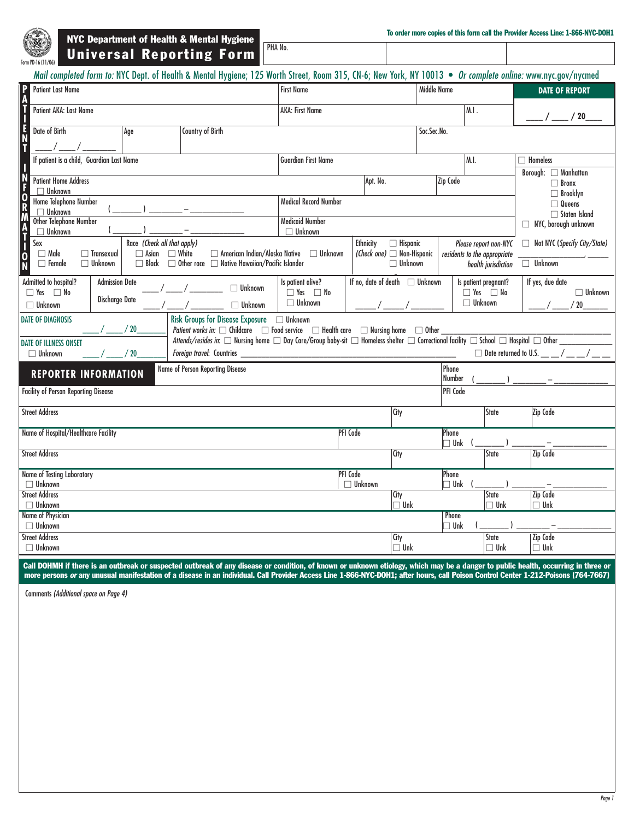

NYC Department of Health & Mental Hygiene Universal Reporting Form

| <b>Middle Name</b><br><b>Patient Last Name</b><br><b>First Name</b>                                                                                                                                                                                                                                                                                          |                                              |  |  |  |  |  |  |
|--------------------------------------------------------------------------------------------------------------------------------------------------------------------------------------------------------------------------------------------------------------------------------------------------------------------------------------------------------------|----------------------------------------------|--|--|--|--|--|--|
|                                                                                                                                                                                                                                                                                                                                                              | <b>DATE OF REPORT</b>                        |  |  |  |  |  |  |
| M.1.<br>Patient AKA: Last Name<br><b>AKA: First Name</b>                                                                                                                                                                                                                                                                                                     | ____/ ____ / 20_                             |  |  |  |  |  |  |
| Date of Birth<br>Country of Birth<br>Soc.Sec.No.<br>Aqe                                                                                                                                                                                                                                                                                                      |                                              |  |  |  |  |  |  |
| If patient is a child, Guardian Last Name<br>M.I.<br><b>Guardian First Name</b>                                                                                                                                                                                                                                                                              | $\Box$ Homeless                              |  |  |  |  |  |  |
| <b>Patient Home Address</b><br>Zip Code<br>Apt. No.                                                                                                                                                                                                                                                                                                          | Borough: Manhattan<br>$\Box$ Bronx           |  |  |  |  |  |  |
| $\Box$ Unknown<br>Home Telephone Number<br><b>Medical Record Number</b><br>$\Box$ Unknown                                                                                                                                                                                                                                                                    | $\Box$ Brooklyn<br>$\Box$ Queens             |  |  |  |  |  |  |
| <b>Medicaid Number</b><br>Other Telephone Number<br>$\Box$ Unknown<br>Unknown<br>П                                                                                                                                                                                                                                                                           | $\Box$ Staten Island<br>NYC, borough unknown |  |  |  |  |  |  |
| Sex<br>Race (Check all that apply)<br><b>Ethnicity</b><br>$\Box$ Hispanic<br>Please report non-NYC<br>$\Box$ White<br>(Check one) $\Box$ Non-Hispanic<br>$\Box$ Male<br>$\Box$ Asian<br>$\Box$ American Indian/Alaska Native<br>$\Box$ Unknown<br>$\Box$ Transexual<br>residents to the appropriate<br>O                                                     | Not NYC (Specify City/State)                 |  |  |  |  |  |  |
| □ Other race □ Native Hawaiian/Pacific Islander<br>$\Box$ Unknown<br>$\Box$ Black<br>$\Box$ Unknown<br>$\Box$ Female<br>health jurisdiction                                                                                                                                                                                                                  | $\Box$ Unknown                               |  |  |  |  |  |  |
| If no, date of death $\Box$ Unknown<br>Admitted to hospital?<br><b>Admission Date</b><br>Is patient alive?<br>Is patient pregnant?<br>$\Box$ Unknown<br>$\Box$ Yes $\Box$ No<br>$\Box$ Yes $\Box$ No<br>$\Box$ Yes $\Box$ No<br><b>Discharge Date</b><br>$\Box$ Unknown<br>$\Box$ Unknown<br>$\Box$ Unknown<br>$\Box$ Unknown                                | If yes, due date<br>$\Box$ Unknown<br>/20    |  |  |  |  |  |  |
| <b>Risk Groups for Disease Exposure</b><br><b>DATE OF DIAGNOSIS</b><br>$\Box$ Unknown<br>/20<br>Patient works in: $\Box$ Childcare $\Box$ Food service $\Box$ Health care $\Box$ Nursing home $\Box$ Other                                                                                                                                                   |                                              |  |  |  |  |  |  |
| Attends/resides in: $\square$ Nursing home $\square$ Day Care/Group baby-sit $\square$ Homeless shelter $\square$ Correctional facility $\square$ School $\square$ Hospital $\square$ Other<br><b>DATE OF ILLNESS ONSET</b><br>$\Box$ Date returned to U.S. $\_\_\_\_\_\_\_\_\_\_\_\_\_\_\_\_\_\_\_$<br>Foreign travel: Countries _<br>$\Box$ Unknown<br>/20 |                                              |  |  |  |  |  |  |
| Name of Person Reporting Disease<br>Phone<br><b>REPORTER INFORMATION</b><br>Number                                                                                                                                                                                                                                                                           |                                              |  |  |  |  |  |  |
| <b>Facility of Person Reporting Disease</b><br>PFI Code                                                                                                                                                                                                                                                                                                      |                                              |  |  |  |  |  |  |
| <b>Street Address</b><br>State<br>City                                                                                                                                                                                                                                                                                                                       | Zip Code                                     |  |  |  |  |  |  |
| Name of Hospital/Healthcare Facility<br>PFI Code<br>Phone<br>$\lnot$ Unk                                                                                                                                                                                                                                                                                     |                                              |  |  |  |  |  |  |
| <b>Street Address</b><br>State<br>City                                                                                                                                                                                                                                                                                                                       | Zip Code                                     |  |  |  |  |  |  |
| <b>PFI</b> Code<br><b>Name of Testing Laboratory</b><br>Phone<br>$\Box$ Unknown<br>$\lnot$ Unk<br>$\Box$ Unknown                                                                                                                                                                                                                                             |                                              |  |  |  |  |  |  |
| State<br><b>Street Address</b><br>City<br>$\sqcap$ Unk<br>$\Box$ Unknown<br>$\Box$ Unk                                                                                                                                                                                                                                                                       | Zip Code<br>$\Box$ Unk                       |  |  |  |  |  |  |
| Name of Physician<br>Phone<br>$\Box$ Unknown<br>$\Box$ Unk                                                                                                                                                                                                                                                                                                   |                                              |  |  |  |  |  |  |
| <b>Street Address</b><br>City<br><b>State</b><br>$\Box$ Unknown<br>$\Box$ Unk<br>$\square$ Unk                                                                                                                                                                                                                                                               | <b>Zip Code</b><br>$\Box$ Unk                |  |  |  |  |  |  |

Call DOHMH if there is an outbreak or suspected outbreak of any disease or condition, of known or unknown etiology, which may be a danger to public health, occurring in three or more persons or any unusual manifestation of a disease in an individual. Call Provider Access Line 1-866-NYC-DOH1; after hours, call Poison Control Center 1-212-Poisons (764-7667)

Comments *(Additional space on Page 4)*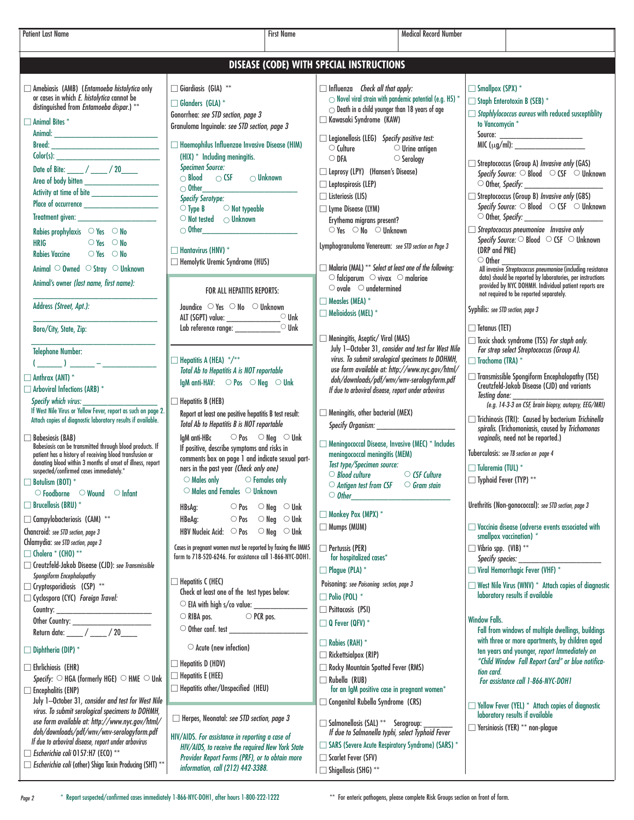- Amebiasis (AMB) (*Entamoeba histolytica* only or cases in which *E. histolytica* cannot be distinguished from *Entamoeba dispar*.) \*\*  $\Box$  Animal Bites  $^*$ Animal: Breed: Color(s): Date of Bite: \_\_\_\_ / \_\_\_\_ / 20\_\_\_\_ Area of body bitten \_\_\_\_\_\_\_\_\_\_\_\_\_\_\_\_\_\_ Activity at time of bite Place of occurrence Treatment given: \_\_\_\_\_ Rabies prophylaxis  $\heartsuit$  Yes  $\heartsuit$  No  $HRIG$   $QY_{ES}$   $QN_0$ Rabies Vaccine  $\bigcirc$  Yes  $\bigcirc$  No Animal  $\circ$  Owned  $\circ$  Stray  $\circ$  Unknown Animal's owner *(last name, first name):*  $\_$ Address *(Street, Apt.):*  $\_$ Boro/City, State, Zip: \_\_\_\_\_\_\_\_\_\_\_\_\_\_\_\_\_\_\_\_\_\_\_\_\_\_\_\_\_\_ Telephone Number:  $(\_ \_ )\_ \_ \Box$  Anthrax (ANT)  $^*$  $\Box$  Arboviral Infections (ARB)  $^*$ Specify which virus: If West Nile Virus or Yellow Fever, report as such on page 2. Attach copies of diagnostic laboratory results if available.  $\Box$  Babesiosis (BAB) Babesiosis can be transmitted through blood products. If patient has a history of receiving blood transfusion or donating blood within 3 months of onset of illness, report suspected/confirmed cases immediately.\*  $\Box$  Botulism (BOT)  $^*$  $\circlearrowright$  Foodborne  $\circlearrowright$  Wound  $\circlearrowright$  Infant  $\Box$  Brucellosis (BRU)  $^*$  $\Box$  Campylobacteriosis (CAM)  $^{**}$ Chancroid: *see STD section, page 3* Chlamydia: *see STD section, page 3* - Cholera \* (CHO) \*\* - Creutzfeld-Jakob Disease (CJD): *see Transmissible Spongiform Encephalopathy*  $\Box$  Cryptosporidiosis (CSP)  $^{**}$ - Cyclospora (CYC) *Foreign Travel:* Country: Other Country: \_\_\_\_\_\_\_\_\_\_\_\_\_\_\_\_\_\_\_ Return date:  $\frac{1}{20}$  $\Box$  Diphtheria (DIP)  $^*$  $\Box$  Ehrlichiosis (EHR)  $\mathsf{Specify:}\ \bigcirc$  HGA (formerly HGE)  $\ \bigcirc$  HME  $\ \bigcirc$  Unk  $\Box$  Encephalitis (ENP) July 1–October 31*, consider and test for West Nile virus. To submit serological specimens to DOHMH, use form available at: http://www.nyc.gov/html/ doh/downloads/pdf/wnv/wnv-serologyform.pdf If due to arboviral disease, report under arbovirus* - *Escherichia coli* O157:H7 (ECO) \*\* - *Escherichia coli* (other) Shiga Toxin Producing (SHT) \*\*  $\Box$  Giardiasis (GIA)  $^{**}$  $\Box$  Glanders (GLA)  $^*$ Gonorrhea: *see STD section, page 3*  Granuloma Inguinale: *see STD section, page 3*   $\Box$  Haemophilus Influenzae Invasive Disease (HIM) (HIX) \* Including meningitis. *Specimen Source:*   $\bigcirc$  Blood  $\bigcirc$  CSF  $\bigcirc$  Unknown  $\bigcirc$  Other *Specify Serotype:*  $\circlearrowright$  Type B  $\circlearrowright$  Not typeable  $\circlearrowright$  Not tested  $\circlearrowright$  Unknown  $\bigcirc$  Other  $\Box$  Hantavirus (HNV)  $^*$  $\Box$  Hemolytic Uremic Syndrome (HUS) FOR ALL HEPATITIS REPORTS: Jaundice  $\bigcirc$  Yes  $\bigcirc$  No  $\bigcirc$  Unknown ALT (SGPT) value: \_\_\_\_\_\_\_\_\_\_\_\_\_ Unk Lab reference range:  $\Box$  Hepatitis A (HEA)  $^*/^{**}$ *Total Ab to Hepatitis A is NOT reportable* IgM anti-HAV:  $\bigcirc$  Pos  $\bigcirc$  Neg  $\bigcirc$  Unk  $\Box$  Hepatitis B (HEB) Report at least one positive hepatitis B test result: *Total Ab to Hepatitis B is NOT reportable* IgM anti-HBc  $\qquad \bigcirc P$ os  $\qquad \bigcirc N$ eg  $\qquad \bigcirc$  Unk If positive, describe symptoms and risks in comments box on page 1 and indicate sexual partners in the past year *(Check only one)*  $\circlearrowright$  Males only  $\circlearrowright$  Females only  $\circlearrowright$  Males and Females  $\circlearrowright$  Unknown HBsAg:  $\bigcirc$  Pos  $\bigcirc$  Neg  $\bigcirc$  Unk HBeAg:  $\bigcirc$  Pos  $\bigcirc$  Neg  $\bigcirc$  Unk HBV Nucleic Acid:  $\bigcirc$  Pos  $\bigcirc$  Neg  $\bigcirc$  Unk Cases in pregnant women must be reported by faxing the IMM5 form to 718-520-6246. For assistance call 1-866-NYC-DOH1.  $\Box$  Hepatitis C (HEC) Check at least one of the test types below:  $\circlearrowright$  EIA with high s/co value:  $\bigcirc$  RIBA pos.  $\bigcirc$  PCR pos.  $\circlearrowright$  Other conf. test  $\circlearrowright$  Acute (new infection)  $\Box$  Hepatitis D (HDV)  $\Box$  Hepatitis E (HEE)  $\Box$  Hepatitis other/Unspecified (HEU) - Herpes, Neonatal: *see STD section, page 3* HIV/AIDS. *For assistance in reporting a case of HIV/AIDS, to receive the required New York State Provider Report Forms (PRF), or to obtain more information, call (212) 442-3388.* - Influenza *Check all that apply:*  $\circ$  Novel viral strain with pandemic potential (e.g. H5) \*  $\bigcirc$  Death in a child younger than 18 years of age - Kawasaki Syndrome (KAW) - Legionellosis (LEG) *Specify positive test:*  $\overline{\bigcirc}$  Culture  $\overline{\bigcirc}$  Urine antigen<br> $\overline{\bigcirc}$  DFA  $\overline{\bigcirc}$  Serology  $\circ$  Serology - Leprosy (LPY) (Hansen's Disease)  $\Box$  Leptospirosis (LEP)  $\Box$  Listeriosis (LIS) - Lyme Disease (LYM) Erythema migrans present?  $\overrightarrow{O}$  Yes  $\overrightarrow{O}$  No  $\overrightarrow{O}$  Unknown Lymphogranuloma Venereum: *see STD section on Page 3* - Malaria (MAL) \*\* *Select at least one of the following:*  $\circlearrowright$  falciparum  $\circlearrowright$  vivax  $\circlearrowright$  malariae  $\circ$  ovale  $\circ$  undetermined  $\Box$  Measles (MEA)  $^*$  $\Box$  Melioidosis (MEL)  $^*$  $\Box$  Meningitis, Aseptic/ Viral (MAS) July 1–October 31*, consider and test for West Nile virus. To submit serological specimens to DOHMH, use form available at: http://www.nyc.gov/html/ doh/downloads/pdf/wnv/wnv-serologyform.pdf If due to arboviral disease, report under arbovirus*  $\Box$  Meningitis, other bacterial (MEX) *Specify Organism:* \_\_\_\_\_\_\_\_\_\_\_\_\_\_\_\_\_\_\_ - Meningococcal Disease, Invasive (MEC) \* Includes meningococcal meningitis (MEM) *Test type/Specimen source: Blood culture CSF Culture Antigen test from CSF Gram stain*  $\circ$  0ther  $\Box$  Monkey Pox (MPX)  $^*$  $\Box$  Mumps (MUM)  $\Box$  Pertussis (PER) for hospitalized cases\* - Plague (PLA) \* Poisoning: *see Poisoning section, page 3* - Polio (POL) *\** - Psittacosis (PSI)  $\Box$  Q Fever (QFV)  $^*$ - Rabies (RAH) \*  $\Box$  Rickettsialpox (RIP)  $\Box$  Rocky Mountain Spotted Fever (RMS) - Rubella (RUB) for an IgM positive case in pregnant women\*  $\Box$  Congenital Rubella Syndrome (CRS) - Salmonellosis (SAL) \*\* Serogroup: \_\_\_\_\_\_\_ *If due to Salmonella typhi, select Typhoid Fever*  $\Box$  SARS (Severe Acute Respiratory Syndrome) (SARS)  $^*$  $\Box$  Scarlet Fever (SFV)  $\Box$  Shigellosis (SHG)  $^{**}$  $\Box$  Smallpox (SPX)  $^*$  $\Box$  Staph Enterotoxin B (SEB)  $^*$ - *Staphlylococcus aureus* with reduced susceptiblity to Vancomycin \* Source: \_\_\_\_\_\_\_\_\_\_\_\_\_\_\_\_\_\_\_\_  $MIC$  ( $\mu$ g/ml): - Streptococcus (Group A) *Invasive only* (GAS) *Specify Source:*  $\bigcirc$  Blood  $\bigcirc$  CSF  $\bigcirc$  Unknown  $\circlearrowright$  Other, *Specify:* - Streptococcus (Group B) *Invasive only* (GBS) Specify Source:  $\bigcirc$  Blood  $\bigcirc$  CSF  $\bigcirc$  Unknown  $\circ$  Other, *Specify*: - *Streptococcus pneumoniae Invasive only Specify Source:*  $\bigcirc$  Blood  $\bigcirc$  CSF  $\bigcirc$  Unknown  $(DRP \nand PNF)$  Other \_\_\_\_\_\_\_\_\_\_\_\_\_\_\_\_\_\_\_ All invasive *Streptococcus pneumoniae* (including resistance data) should be reported by laboratories, per instructions provided by NYC DOHMH. Individual patient reports are not required to be reported separately. Syphilis: *see STD section, page 3*  $\Box$  Tetanus (TET) - Toxic shock syndrome (TSS) *For staph only. For strep select Streptococcus (Group A).*  $\Box$  Trachoma (TRA)  $^*$  $\Box$  Transmissible Spongiform Encephalopathy (TSE) Creutzfeld-Jakob Disease (CJD) and variants<br>Testing dane: *Testing done:* \_\_\_\_\_\_\_\_\_\_\_\_\_\_\_\_\_\_\_\_\_\_ *(e.g. 14-3-3 on CSF, brain biopsy, autopsy, EEG/MRI)* - Trichinosis (TRI): Caused by bacterium *Trichinella spiralis*. (Trichomoniasis, caused by *Trichomonas vaginalis,* need not be reported.) Tuberculosis: *see TB section on page 4*  $\Box$  Tularemia (TUL)  $^*$  $\Box$  Typhoid Fever (TYP)  $^{**}$ Urethritis (Non-gonococcal): *see STD section, page 3*  $\Box$  Vaccinia disease (adverse events associated with smallpox vaccination) *\**  $\Box$  Vibrio spp. (VIB) \*\* *Specify species:* \_\_\_\_\_\_\_\_\_\_\_\_\_\_\_\_\_\_\_\_  $\Box$  Viral Hemorrhagic Fever (VHF)  $^*$  $\Box$  West Nile Virus (WNV)  $^*$  Attach copies of diagnostic laboratory results if available Window Falls. Fall from windows of multiple dwellings, buildings with three or more apartments, by children aged ten years and younger, *report Immediately on "Child Window Fall Report Card" or blue notification card. For assistance call 1-866-NYC-DOH1*  $\Box$  Yellow Fever (YEL)  $^*$  Attach copies of diagnostic laboratory results if available - Yersiniosis (YER) \*\* non-plague **DISEASE (CODE) WITH SPECIAL INSTRUCTIONS** Patient Last Name Medical Record Number (Patient Last Name (Patient Last Name (Patient Last Name (Patient Record Number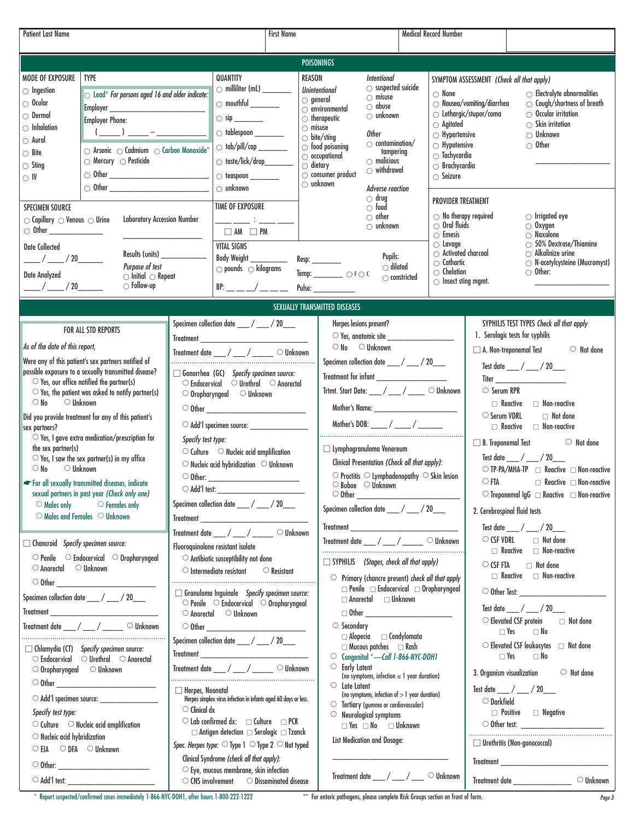| <b>Patient Last Name</b>                                                                                                                                                                                                                                                                                                                                                                                                                                                                                                                                                                                                                                                                                                                                                                                                                                                                                                           |                                                                                                                                                                                                                                  | <b>First Name</b>                                                                                                                                                                                                                                                                                                                                                                                                                                                                                                                                                         |                                                                                                                                                                                                                                                                                                                                                                                                                                                                                                                                                                                                                                                                                                     | <b>Medical Record Number</b>                                                                                                                                                                                                                                                                                                                                                                                       |                                                                                                                                        |                                                                                                                                                                                                                                                                                                                                                                                                                                                                                                                                   |  |
|------------------------------------------------------------------------------------------------------------------------------------------------------------------------------------------------------------------------------------------------------------------------------------------------------------------------------------------------------------------------------------------------------------------------------------------------------------------------------------------------------------------------------------------------------------------------------------------------------------------------------------------------------------------------------------------------------------------------------------------------------------------------------------------------------------------------------------------------------------------------------------------------------------------------------------|----------------------------------------------------------------------------------------------------------------------------------------------------------------------------------------------------------------------------------|---------------------------------------------------------------------------------------------------------------------------------------------------------------------------------------------------------------------------------------------------------------------------------------------------------------------------------------------------------------------------------------------------------------------------------------------------------------------------------------------------------------------------------------------------------------------------|-----------------------------------------------------------------------------------------------------------------------------------------------------------------------------------------------------------------------------------------------------------------------------------------------------------------------------------------------------------------------------------------------------------------------------------------------------------------------------------------------------------------------------------------------------------------------------------------------------------------------------------------------------------------------------------------------------|--------------------------------------------------------------------------------------------------------------------------------------------------------------------------------------------------------------------------------------------------------------------------------------------------------------------------------------------------------------------------------------------------------------------|----------------------------------------------------------------------------------------------------------------------------------------|-----------------------------------------------------------------------------------------------------------------------------------------------------------------------------------------------------------------------------------------------------------------------------------------------------------------------------------------------------------------------------------------------------------------------------------------------------------------------------------------------------------------------------------|--|
|                                                                                                                                                                                                                                                                                                                                                                                                                                                                                                                                                                                                                                                                                                                                                                                                                                                                                                                                    |                                                                                                                                                                                                                                  |                                                                                                                                                                                                                                                                                                                                                                                                                                                                                                                                                                           |                                                                                                                                                                                                                                                                                                                                                                                                                                                                                                                                                                                                                                                                                                     |                                                                                                                                                                                                                                                                                                                                                                                                                    |                                                                                                                                        |                                                                                                                                                                                                                                                                                                                                                                                                                                                                                                                                   |  |
| <b>POISONINGS</b>                                                                                                                                                                                                                                                                                                                                                                                                                                                                                                                                                                                                                                                                                                                                                                                                                                                                                                                  |                                                                                                                                                                                                                                  |                                                                                                                                                                                                                                                                                                                                                                                                                                                                                                                                                                           |                                                                                                                                                                                                                                                                                                                                                                                                                                                                                                                                                                                                                                                                                                     |                                                                                                                                                                                                                                                                                                                                                                                                                    |                                                                                                                                        |                                                                                                                                                                                                                                                                                                                                                                                                                                                                                                                                   |  |
| <b>MODE OF EXPOSURE</b><br><b>TYPE</b><br>$\bigcirc$ Ingestion<br>$\circlearrowright$ Lead* For persons aged 16 and older indicate:<br>$\circ$ Ocular<br>$\circ$ Dermal<br><b>Employer Phone:</b><br>$\circlearrowright$ Inhalation<br>$(\underline{\hspace{1cm}})$ $\underline{\hspace{1cm}}$ - $\underline{\hspace{1cm}}$ - $\underline{\hspace{1cm}}$ - $\underline{\hspace{1cm}}$ - $\underline{\hspace{1cm}}$<br>$\circ$ Aural<br>$\circlearrowright$ Arsenic $\circlearrowright$ Cadmium $\circlearrowright$ Carbon Monoxide*<br>$\bigcirc$ Bite<br>$\circlearrowright$ Mercury $\circlearrowright$ Pesticide<br>$\circ$ Sting<br>○ Other <u>_________________________</u><br>$\circ$ IV<br><b>SPECIMEN SOURCE</b><br><b>Laboratory Accession Number</b><br>$\circlearrowright$ Capillary $\circlearrowright$ Venous $\circlearrowright$ Urine<br><b>Date Collected</b><br>$\frac{1}{2}$ / $\frac{20}{2}$<br>Purpose of test | QUANTITY<br>Results (units) ______________                                                                                                                                                                                       | $\circlearrowright$ milliliter (mL) ________<br>$\bigcirc$ tablespoon _________<br>$\circ$ taste/lick/drop_______<br>$\bigcirc$ unknown<br>TIME OF EXPOSURE<br>$\Box$ AM $\Box$ PM<br><b>VITAL SIGNS</b><br><b>Body Weight</b>                                                                                                                                                                                                                                                                                                                                            | <b>REASON</b><br>Intentional<br>$\bigcirc$ suspected suicide<br><b>Unintentional</b><br>$\cap$ misuse<br>$\circ$ general<br>$\bigcirc$ abuse<br>$\circ$ environmental<br>$\bigcirc$ unknown<br>$\circlearrowright$ therapeutic<br>$\circ$ misuse<br>Other<br>$\circ$ bite/sting<br>$\circlearrowright$ contamination/<br>$\circlearrowright$ food poisoning<br>tampering<br>$\circ$ occupational<br>$\bigcirc$ malicious<br>$\circ$ dietary<br>$\circlearrowright$ withdrawal<br>$\circlearrowright$ consumer product<br>$\bigcirc$ unknown<br>Adverse reaction<br>$\circ$ drug<br>$\circ$ food<br>$\circ$ other<br>$\circlearrowright$ unknown<br>Pupils:<br>Resp: _________<br>$\bigcirc$ dilated | $\circ$ None<br>$\bigcirc$ Agitated<br>$\bigcirc$ Hypertensive<br>$\circlearrowright$ Hypotensive<br>$\bigcirc$ Tachycardia<br>$\circlearrowright$ Brachycardia<br>$\bigcirc$ Seizure<br><b>PROVIDER TREATMENT</b><br>$\circlearrowright$ No therapy required<br>$\circlearrowright$ Oral fluids<br>$\circ$ Emesis<br>$\bigcirc$ Lavage<br>$\circlearrowright$ Activated charcoal<br>$\circlearrowright$ Cathartic | SYMPTOM ASSESSMENT (Check all that apply)<br>$\circlearrowright$ Nausea/vomiting/diarrhea<br>$\circlearrowright$ Lethargic/stupor/coma | $\circ$ Electrolyte abnormalities<br>$\circlearrowright$ Cough/shortness of breath<br>$\circ$ Occular irritation<br>$\circ$ Skin irritation<br>$\circlearrowright$ Unknown<br>$\circ$ Other<br>$\circlearrowright$ Irrigated eye<br>$\circ$ Oxygen<br>$\circ$ Naxolone<br>$\circ$ 50% Dextrose/Thiamine<br>$\bigcirc$ Alkalinize urine<br>$\circlearrowright$ N-acetylcysteine (Mucromyst)                                                                                                                                        |  |
| <b>Date Analyzed</b><br>$\circlearrowright$ Initial $\circlearrowright$ Repeat                                                                                                                                                                                                                                                                                                                                                                                                                                                                                                                                                                                                                                                                                                                                                                                                                                                     |                                                                                                                                                                                                                                  | $\circlearrowright$ pounds $\circlearrowright$ kilograms                                                                                                                                                                                                                                                                                                                                                                                                                                                                                                                  | Temp: $\_\_$ $\_\_$ $\_\_$                                                                                                                                                                                                                                                                                                                                                                                                                                                                                                                                                                                                                                                                          | $\circlearrowright$ Chelation<br>$\bigcirc$ constricted<br>$\bigcirc$ Insect sting mgmt.                                                                                                                                                                                                                                                                                                                           |                                                                                                                                        | $\circ$ Other:                                                                                                                                                                                                                                                                                                                                                                                                                                                                                                                    |  |
| $\bigcirc$ Follow-up<br>$\frac{1}{2}$ / $\frac{20}{2}$                                                                                                                                                                                                                                                                                                                                                                                                                                                                                                                                                                                                                                                                                                                                                                                                                                                                             |                                                                                                                                                                                                                                  |                                                                                                                                                                                                                                                                                                                                                                                                                                                                                                                                                                           |                                                                                                                                                                                                                                                                                                                                                                                                                                                                                                                                                                                                                                                                                                     |                                                                                                                                                                                                                                                                                                                                                                                                                    |                                                                                                                                        |                                                                                                                                                                                                                                                                                                                                                                                                                                                                                                                                   |  |
|                                                                                                                                                                                                                                                                                                                                                                                                                                                                                                                                                                                                                                                                                                                                                                                                                                                                                                                                    |                                                                                                                                                                                                                                  |                                                                                                                                                                                                                                                                                                                                                                                                                                                                                                                                                                           | SEXUALLY TRANSMITTED DISEASES                                                                                                                                                                                                                                                                                                                                                                                                                                                                                                                                                                                                                                                                       |                                                                                                                                                                                                                                                                                                                                                                                                                    |                                                                                                                                        |                                                                                                                                                                                                                                                                                                                                                                                                                                                                                                                                   |  |
| FOR ALL STD REPORTS<br>As of the date of this report,<br>Were any of this patient's sex partners notified of<br>possible exposure to a sexually transmitted disease?<br>$\circ$ Yes, our office notified the partner(s)<br>$\circ$ Yes, the patient was asked to notify partner(s)<br>$\circ$ Unknown<br>$\circ$ No<br>Did you provide treatment for any of this patient's<br>sex partners?<br>$\circlearrowright$ Yes, I gave extra medication/prescription for<br>the sex partner(s)<br>$\circlearrowright$ Yes, I saw the sex partner(s) in my office<br>$\circlearrowright$ Unknown<br>$\circ$ No<br>For all sexually transmitted diseases, indicate<br>sexual partners in past year (Check only one)<br>$\circ$ Males only<br>$\circ$ Females only<br>$\circlearrowright$ Males and Females $\circlearrowright$ Unknown                                                                                                       | $\circ$ Oropharyngeal $\circ$ Unknown<br>Specify test type:<br>$\bigcirc$ Add'l test:<br>Treatment date ___ / ___ / _                                                                                                            | Specimen collection date ____/ ___/ 20___<br>Treatment date ___ / ___ / ____ O Unknown<br>$\Box$ Gonorrhea (GC) Specify specimen source:<br>$\circ$ Endocervical $\circ$ Urethral $\circ$ Anorectal<br>$\circlearrowright$ Add'l specimen source: ____________________<br>$\circlearrowright$ Culture $\circlearrowright$ Nucleic acid amplification<br>$\circlearrowright$ Nucleic acid hybridization $\circlearrowright$ Unknown<br>Specimen collection date ____/ ___/ 20___<br>$\circ$ Unknown                                                                        | Herpes lesions present?<br>$\circ$ Yes, anatomic site $\overline{\phantom{a}}$<br>$\circ$ No $\circ$ Unknown<br>Specimen collection date ____/ ___/ 20___<br>Trtmt. Start Date: ___/ ___/ ___ O Unknown<br>$\Box$ Lymphogranuloma Venereum<br>Clinical Presentation (Check all that apply):<br>$\circ$ Proctitis $\circ$ Lymphadenopathy $\circ$ Skin lesion<br>$\circ$ Buboe $\circ$ Unknown<br>$\circ$ Other<br>Specimen collection date ___ / ___ / 20___<br>Treatment                                                                                                                                                                                                                           |                                                                                                                                                                                                                                                                                                                                                                                                                    | $\circ$ Serum RPR<br>○ Serum VDRL<br>$\circ$ FTA<br>2. Cerebrospinal fluid tests                                                       | SYPHILIS TEST TYPES Check all that apply<br>1. Serologic tests for syphilis<br>A. Non-treponemal Test<br>$\circ$ Not done<br>Test date ___/ __/ 20___<br>$\Box$ Reactive $\Box$ Non-reactive<br>Not done<br>$\Box$ Reactive $\Box$ Non-reactive<br>$\Box$ B. Treponemal Test<br>$\circ$ Not done<br>Test date ___/ __/ 20___<br>○ TP-PA/MHA-TP □ Reactive □ Non-reactive<br>$\Box$ Reactive $\Box$ Non-reactive<br>$\circlearrowright$ Treponemal IgG $\;\sqsupset$ Reactive $\;\sqsupset$ Non-reactive<br>Test date __/ __/ 20__ |  |
| $\Box$ Chancroid Specify specimen source:<br>$\circ$ Penile $\circ$ Endocervical $\circ$ Oropharyngeal<br>$\circ$ Anorectal $\circ$ Unknown<br>Specimen collection date ____/ ___/ 20___<br>Treatment date ___/ ___/ ____ O Unknown<br>$\Box$ Chlamydia (CT) Specify specimen source:<br>$\circ$ Endocervical $\circ$ Urethral $\circ$ Anorectal<br>$\circ$ Oropharyngeal $\circ$ Unknown<br>Specify test type:<br>$\circlearrowright$ Culture $\circlearrowright$ Nucleic acid amplification<br>$\circlearrowright$ Nucleic acid hybridization<br>$\circ$ EIA $\circ$ DFA $\circ$ Unknown                                                                                                                                                                                                                                                                                                                                         | Fluoroquinolone resistant isolate<br>$\circlearrowright$ Antibiotic susceptibility not done<br>$\circlearrowright$ Intermediate resistant<br>$\circ$ Anorectal $\circ$ Unknown<br>$\Box$ Herpes, Neonatal<br>$\circ$ Clinical dx | $\circ$ Resistant<br>$\Box$ Granuloma Inguinale Specify specimen source:<br>$\circ$ Penile $\circ$ Endocervical $\circ$ Oropharyngeal<br>Specimen collection date ____/ ___/ 20___<br>Treatment<br>Treatment date ___ / ___ / ____ O Unknown<br>Herpes simplex virus infection in infants aged 60 days or less.<br>$\circlearrowright$ Lab confirmed dx: $\Box$ Culture $\Box$ PCR<br>$\Box$ Antigen detection $\Box$ Serologic $\Box$ Tzanck<br>Spec. Herpes type: $\bigcirc$ Type 1 $\bigcirc$ Type 2 $\bigcirc$ Not typed<br>Clinical Syndrome (check all that apply): | Treatment date ____/ ____/ _____ O Unknown<br>$\Box$ SYPHILIS (Stages, check all that apply)<br>$\circ$ Primary (chancre present) check all that apply<br>$\Box$ Anorectal $\Box$ Unknown<br>$\circ$ Secondary<br>$\Box$ Alopecia $\Box$ Condylomata<br>$\Box$ Mucous patches $\Box$ Rash<br>○ Congenital *- Call 1-866-NYC-DOH1<br>О<br><b>Early Latent</b><br>(no symptoms, infection $\leq 1$ year duration)<br>$\circ$ Late Latent<br>(no symptoms, infection of $> 1$ year duration)<br>$\circlearrowright$ Tertiary (gumma or cardiovascular)<br>Neurological symptoms<br>O<br>$\Box$ Yes $\Box$ No $\Box$ Unknown<br>List Medication and Dosage:                                             | $\Box$ Penile $\Box$ Endocervical $\Box$ Oropharyngeal                                                                                                                                                                                                                                                                                                                                                             | $\circ$ CSF VDRL<br>$\circ$ CSF FTA<br>$\Box$ Yes<br>$\Box$ Yes<br>3. Organism visualization<br>$\circ$ Darkfield                      | $\Box$ Not done<br>$\Box$ Reactive $\Box$ Non-reactive<br>$\Box$ Not done<br>Test date / / 20<br>$\circlearrowright$ Elevated CSF protein<br>$\Box$ Not done<br>$\Box$ No<br>$\circlearrowright$ Elevated CSF leukocytes $\Box$ Not done<br>$\Box$ No<br>$\circ$ Not done<br>Test date ___/ ___/ 20___<br>$\Box$ Positive $\Box$ Negative<br>$\Box$ Urethritis (Non-gonococcal)                                                                                                                                                   |  |
| $\circlearrowright$ Add'l test:                                                                                                                                                                                                                                                                                                                                                                                                                                                                                                                                                                                                                                                                                                                                                                                                                                                                                                    |                                                                                                                                                                                                                                  | $\circlearrowright$ Eye, mucous membrane, skin infection<br>$\circ$ CNS involvement $\circ$ Disseminated disease                                                                                                                                                                                                                                                                                                                                                                                                                                                          | Treatment date ___/ ___/ ___ O Unknown                                                                                                                                                                                                                                                                                                                                                                                                                                                                                                                                                                                                                                                              |                                                                                                                                                                                                                                                                                                                                                                                                                    |                                                                                                                                        | Treatment date<br>$\circlearrowright$ Unknown                                                                                                                                                                                                                                                                                                                                                                                                                                                                                     |  |

\* Report suspected/confirmed cases immediately 1-866-NYC-DOH1, after hours 1-800-222-1222 \*\* For enteric pathogens, please complete Risk Groups section on front of form.